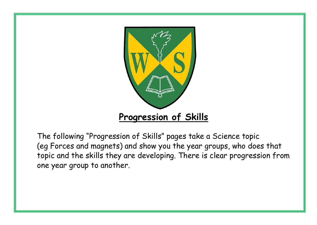

The following "Progression of Skills" pages take a Science topic (eg Forces and magnets) and show you the year groups, who does that topic and the skills they are developing. There is clear progression from one year group to another.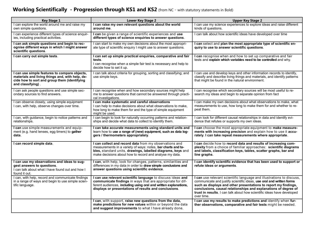## **Working Scientifically - Progression through KS1 and KS2** (from NC – with statutory statements in Bold)

| <b>Key Stage 1</b>                                                                                                                                                    | <b>Lower Key Stage 2</b>                                                                                                                                                                                                                               | <b>Upper Key Stage 2</b>                                                                                                                                                                                                                                                                                                                                                   |
|-----------------------------------------------------------------------------------------------------------------------------------------------------------------------|--------------------------------------------------------------------------------------------------------------------------------------------------------------------------------------------------------------------------------------------------------|----------------------------------------------------------------------------------------------------------------------------------------------------------------------------------------------------------------------------------------------------------------------------------------------------------------------------------------------------------------------------|
| I can explore the world around me and raise my<br>own simple questions.                                                                                               | I can raise my own relevant questions about the world<br>around me.                                                                                                                                                                                    | I can use my science experiences to explore ideas and raise different<br>kinds of questions.                                                                                                                                                                                                                                                                               |
| I can experience different types of science enquir-<br>ies, including practical activities.                                                                           | I can be given a range of scientific experiences and use<br>different types of science enquiries to answer questions.                                                                                                                                  | I can talk about how scientific ideas have developed over time                                                                                                                                                                                                                                                                                                             |
| I can ask simple questions and begin to rec-<br>ognise different ways in which I might answer<br>scientific questions.                                                | I can start to make my own decisions about the most appropri-<br>ate type of scientific enquiry I might use to answer questions.                                                                                                                       | I can select and plan the most appropriate type of scientific en-<br>quiry to use to answer scientific questions.                                                                                                                                                                                                                                                          |
| I can carry out simple tests.                                                                                                                                         | I can set up simple practical enquiries, comparative and fair<br>tests.<br>I can recognise when a simple fair test is necessary and help to<br>decide how to set it up.                                                                                | I can recognise when and how to set up comparative and fair<br>tests and explain which variables need to be controlled and why.                                                                                                                                                                                                                                            |
| I can use simple features to compare objects,<br>materials and living things and, with help, de-<br>cide how to sort and group them (identifying<br>and classifying). | I can talk about criteria for grouping, sorting and classifying; and<br>use simple keys.                                                                                                                                                               | I can use and develop keys and other information records to identify,<br>classify and describe living things and materials, and identify patterns<br>that might be found in the natural environment.                                                                                                                                                                       |
| I can ask people questions and use simple sec-<br>ondary sources to find answers.                                                                                     | I can recognise when and how secondary sources might help<br>me to answer questions that cannot be answered through practi-<br>cal investigations.                                                                                                     | I can recognise which secondary sources will be most useful to re-<br>search my ideas and begin to separate opinion from fact                                                                                                                                                                                                                                              |
| I can observe closely, using simple equipment<br>I can, with help, observe changes over time.                                                                         | I can make systematic and careful observations<br>I can help to make decisions about what observations to make,<br>how long to make them for and the type of simple equipment<br>might be used.                                                        | I can make my own decisions about what observations to make, what<br>measurements to use, how long to make them for and whether to re-<br>peat them.                                                                                                                                                                                                                       |
| I can, with guidance, begin to notice patterns and<br>relationships.                                                                                                  | I can begin to look for naturally occurring patterns and relation-<br>ships and decide what data to collect to identify them.                                                                                                                          | I can look for different causal relationships in data and identify evi-<br>dence that refutes or supports my own ideas.                                                                                                                                                                                                                                                    |
| I can use simple measurements and equip-<br>ment (e.g. hand lenses, egg timers) to gather<br>data.                                                                    | I can take accurate measurements using standard units and<br>learn how to use a range of (new) equipment, such as data log-<br>gers / thermometers appropriately.                                                                                      | I can choose the most appropriate equipment to make measure-<br>ments with increasing precision and explain how to use it accu-<br>rately. I can take repeat measurements where appropriate.                                                                                                                                                                               |
| I can record simple data.                                                                                                                                             | I can collect and record data from my observations and<br>measurements in a variety of ways: notes, bar charts and ta-<br>bles, standard units, drawings, labelled diagrams, keys and<br>make decisions about how to record and analyse my data.       | I can decide how to record data and results of increasing com-<br>plexity from a choice of familiar approaches: scientific diagrams<br>and labels, classification keys, tables, scatter graphs, bar and<br>line graphs.                                                                                                                                                    |
| I can use my observations and ideas to sug-<br>gest answers to questions.<br>I can talk about what I have found out and how I<br>found it out.                        | I can, with help, look for changes, patterns, similarities and<br>differences in my data in order to draw simple conclusions and<br>answer questions using scientific evidence.                                                                        | I can identify scientific evidence that has been used to support or<br>refute ideas or arguments.                                                                                                                                                                                                                                                                          |
| I can, with help, record and communicate findings<br>in a range of ways and begin to use simple scien-<br>tific language.                                             | I can use relevant scientific language to discuss ideas and<br>communicate findings in ways that are appropriate for dif-<br>ferent audiences, including using oral and written explanations,<br>displays or presentations of results and conclusions. | I can use relevant scientific language and illustrations to discuss,<br>communicate and justify scientific ideas, use oral and written forms<br>such as displays and other presentations to report my findings,<br>conclusions, causal relationships and explanations of degree of<br>trust in results. I can talk about how scientific ideas have developed<br>over time. |
|                                                                                                                                                                       | I can, with support, raise new questions from the data,<br>make predictions for new values within or beyond the data<br>and suggest improvements to what I have already done.                                                                          | I can use my results to make predictions and identify when fur-<br>ther observations, comparative and fair tests might be needed.                                                                                                                                                                                                                                          |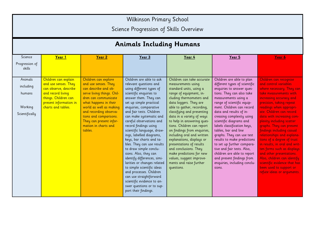Wilkinson Primary School

Science Progression of Skills Overview

|                                                             | <b>Animals Including Humans</b>                                                                                                                                    |                                                                                                                                                                                                                                                                                                  |                                                                                                                                                                                                                                                                                                                                                                                                                                                                                                                                                                                                                                                                                                                 |                                                                                                                                                                                                                                                                                                                                                                                                                                                                                                                                                                   |                                                                                                                                                                                                                                                                                                                                                                                                                                                                                                                                                                                 |                                                                                                                                                                                                                                                                                                                                                                                                                                                                                                                                                                                                                        |  |  |
|-------------------------------------------------------------|--------------------------------------------------------------------------------------------------------------------------------------------------------------------|--------------------------------------------------------------------------------------------------------------------------------------------------------------------------------------------------------------------------------------------------------------------------------------------------|-----------------------------------------------------------------------------------------------------------------------------------------------------------------------------------------------------------------------------------------------------------------------------------------------------------------------------------------------------------------------------------------------------------------------------------------------------------------------------------------------------------------------------------------------------------------------------------------------------------------------------------------------------------------------------------------------------------------|-------------------------------------------------------------------------------------------------------------------------------------------------------------------------------------------------------------------------------------------------------------------------------------------------------------------------------------------------------------------------------------------------------------------------------------------------------------------------------------------------------------------------------------------------------------------|---------------------------------------------------------------------------------------------------------------------------------------------------------------------------------------------------------------------------------------------------------------------------------------------------------------------------------------------------------------------------------------------------------------------------------------------------------------------------------------------------------------------------------------------------------------------------------|------------------------------------------------------------------------------------------------------------------------------------------------------------------------------------------------------------------------------------------------------------------------------------------------------------------------------------------------------------------------------------------------------------------------------------------------------------------------------------------------------------------------------------------------------------------------------------------------------------------------|--|--|
| Science<br>Progression of<br>skills                         | Year 1                                                                                                                                                             | Year 2                                                                                                                                                                                                                                                                                           | Year 3                                                                                                                                                                                                                                                                                                                                                                                                                                                                                                                                                                                                                                                                                                          | Year 4                                                                                                                                                                                                                                                                                                                                                                                                                                                                                                                                                            | Year 5                                                                                                                                                                                                                                                                                                                                                                                                                                                                                                                                                                          | <u>Year 6</u>                                                                                                                                                                                                                                                                                                                                                                                                                                                                                                                                                                                                          |  |  |
| Animals<br>including<br>humans<br>Working<br>Scientifically | Children can explain<br>and use senses. They<br>can observe, describe<br>and record living<br>things. Children can<br>present information in<br>charts and tables. | Children can explore<br>and use senses. They<br>can describe and ob-<br>serve living things. Chil-<br>dren can communicate<br>what happens in their<br>world as well as making<br>and recording observa-<br>tions and comparisons.<br>They can present infor-<br>mation in charts and<br>tables. | Children are able to ask<br>relevant questions and<br>using different types of<br>scientific enquiries to<br>answer them. They can<br>set up simple practical<br>enquiries, comparative<br>and fair tests. Children<br>can make systematic and<br>careful observations and<br>record findings using<br>scientific language, draw-<br>ings, labelled diagrams,<br>keys, bar charts and ta-<br>bles. They can use results<br>to draw simple conclu-<br>sions. Also, they can<br>identify differences, simi-<br>larities or changes related<br>to simple scientific ideas<br>and processes. Children<br>can use straightforward<br>scientific evidence to an-<br>swer questions or to sup-<br>port their findings. | Children can take accurate<br>measurements using<br>standard units, using a<br>range of equipment, in-<br>cluding thermometers and<br>data loggers. They are<br>able to gather, recording,<br>classifying and presenting<br>data in a variety of ways<br>to help in answering ques-<br>tions. Children can report<br>on findings from enquiries,<br>including oral and written<br>explanations, displays or<br>presentations of results<br>and conclusions. They<br>make predictions for new<br>values, suggest improve-<br>ments and raise further<br>questions. | Children are able to plan<br>different types of scientific<br>enquiries to answer ques-<br>tions. They can also take<br>measurements using a<br>range of scientific equip-<br>ment. Children can record<br>data and results of in-<br>creasing complexity using<br>scientific diagrams and<br>labels classification keys,<br>tables, bar and line<br>graphs. They can use test<br>results to make predictions<br>to set up further compara-<br>tive and fair tests. Also,<br>children are able to report<br>and present findings from<br>enquiries, including conclu-<br>sions. | Children can recognise<br>and control variables<br>where necessary. They can<br>take measurements with<br>increasing accuracy and<br>precision, taking repeat<br>readings when appropri-<br>ate. Children can record<br>data with increasing com-<br>plexity including scatter<br>graphs. They can present<br>findings including casual<br>relationships and explana-<br>tions of a degree of trust<br>in results, in oral and writ-<br>ten forms such as displays<br>and other presentations.<br>Also, children can identify<br>scientific evidence that has<br>been used to support or<br>refute ideas or arguments. |  |  |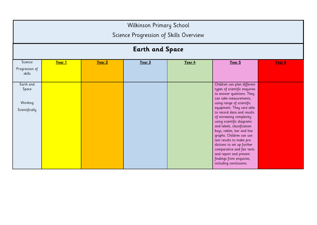|                                                 | Wilkinson Primary School<br>Science Progression of Skills Overview<br><b>Earth and Space</b> |        |        |        |                                                                                                                                                                                                                                                                                                                                                                                                                                                                                                                                       |        |  |
|-------------------------------------------------|----------------------------------------------------------------------------------------------|--------|--------|--------|---------------------------------------------------------------------------------------------------------------------------------------------------------------------------------------------------------------------------------------------------------------------------------------------------------------------------------------------------------------------------------------------------------------------------------------------------------------------------------------------------------------------------------------|--------|--|
| Science<br>Progression of<br>skills             | Year 1                                                                                       | Year 2 | Year 3 | Year 4 | Year 5                                                                                                                                                                                                                                                                                                                                                                                                                                                                                                                                | Year 6 |  |
| Earth and<br>Space<br>Working<br>Scientifically |                                                                                              |        |        |        | Children can plan different<br>types of scientific enquiries<br>to answer questions. They<br>can take measurements,<br>using range of scientific<br>equipment. They care able<br>to record data and results<br>of increasing complexity<br>using scientific diagrams<br>and labels, classification<br>keys, tables, bar and line<br>graphs. Children can use<br>test results to make pre-<br>dictions to set up further<br>comparative and fair tests<br>and report and present<br>findings from enquiries,<br>including conclusions. |        |  |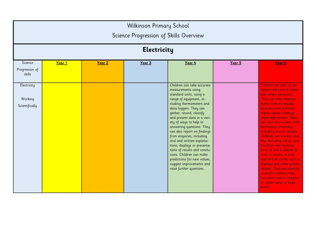|                                          | <b>Wilkinson Primary School</b><br>Science Progression of Skills Overview<br><b>Electricity</b> |        |        |                                                                                                                                                                                                                                                                                                                                                                                                                                                                                                                                                            |        |                                                                                                                                                                                                                                                                                                                                                                                                                                                                                                                                                                                                                                             |  |
|------------------------------------------|-------------------------------------------------------------------------------------------------|--------|--------|------------------------------------------------------------------------------------------------------------------------------------------------------------------------------------------------------------------------------------------------------------------------------------------------------------------------------------------------------------------------------------------------------------------------------------------------------------------------------------------------------------------------------------------------------------|--------|---------------------------------------------------------------------------------------------------------------------------------------------------------------------------------------------------------------------------------------------------------------------------------------------------------------------------------------------------------------------------------------------------------------------------------------------------------------------------------------------------------------------------------------------------------------------------------------------------------------------------------------------|--|
| Science<br>Progression of<br>skills      | Year 1                                                                                          | Year 2 | Year 3 | Year 4                                                                                                                                                                                                                                                                                                                                                                                                                                                                                                                                                     | Year 5 | Year 6                                                                                                                                                                                                                                                                                                                                                                                                                                                                                                                                                                                                                                      |  |
| Electricity<br>Working<br>Scientifically |                                                                                                 |        |        | Children can take accurate<br>measurements using<br>standard units, using a<br>range of equipment, in-<br>cluding thermometers and<br>data loggers. They can<br>gather, record, classify<br>and present data in a vari-<br>ety of ways to help in<br>answering questions. They<br>can also report on findings<br>from enquiries, including<br>oral and written explana-<br>tions, displays or presenta-<br>tions of results and conclu-<br>sions. Children can make<br>predictions for new values,<br>suggest improvements and<br>raise further questions. |        | Children are able to rec-<br>ognise and control varia-<br>bles where necessary.<br>They can take measure-<br>ments with increasing<br>accuracy and precision,<br>taking repeat readings<br>when appropriate. They<br>can also record data with<br>increasing complexity<br>including scatter graphs.<br>Children can present find-<br>ings including casual rela-<br>tionships and explana-<br>tions of and a degree of<br>trust in results, in oral<br>and written forms such as<br>displays and other presen-<br>tations. They can identify<br>scientific evidence that<br>has been used to support<br>or refute ideas or argu-<br>ments. |  |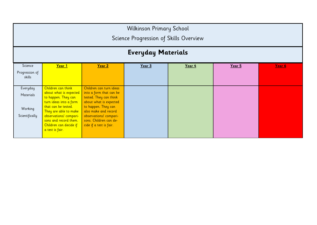|                                                    | Wilkinson Primary School<br>Science Progression of Skills Overview                                                                                                                                                                            |                                                                                                                                                                                                                                      |        |        |        |        |  |  |
|----------------------------------------------------|-----------------------------------------------------------------------------------------------------------------------------------------------------------------------------------------------------------------------------------------------|--------------------------------------------------------------------------------------------------------------------------------------------------------------------------------------------------------------------------------------|--------|--------|--------|--------|--|--|
| <b>Everyday Materials</b>                          |                                                                                                                                                                                                                                               |                                                                                                                                                                                                                                      |        |        |        |        |  |  |
| Science<br>Progression of<br>skills                | Year 1                                                                                                                                                                                                                                        | Year 2                                                                                                                                                                                                                               | Year 3 | Year 4 | Year 5 | Year 6 |  |  |
| Everyday<br>Materials<br>Working<br>Scientifically | Children can think<br>about what is expected<br>to happen. They can<br>turn ideas into a form<br>that can be tested.<br>They are able to make<br>observations/ compari-<br>sons and record them.<br>Children can decide if<br>a test is fair. | Children can turn ideas<br>into a form that can be<br>tested. They can think<br>about what is expected<br>to happen. They can<br>also make and record<br>observations/ compari-<br>sons. Children can de-<br>cide if a test is fair. |        |        |        |        |  |  |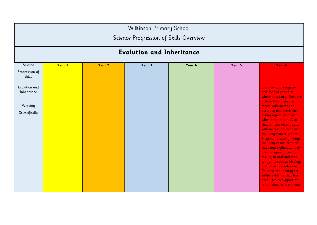|                                                           | Wilkinson Primary School<br>Science Progression of Skills Overview |        |        |        |        |                                                                                                                                                                                                                                                                                                                                                                                                                                                                                                                                                                                                                                       |  |  |
|-----------------------------------------------------------|--------------------------------------------------------------------|--------|--------|--------|--------|---------------------------------------------------------------------------------------------------------------------------------------------------------------------------------------------------------------------------------------------------------------------------------------------------------------------------------------------------------------------------------------------------------------------------------------------------------------------------------------------------------------------------------------------------------------------------------------------------------------------------------------|--|--|
|                                                           | <b>Evolution and Inheritance</b>                                   |        |        |        |        |                                                                                                                                                                                                                                                                                                                                                                                                                                                                                                                                                                                                                                       |  |  |
| Science<br>Progression of<br>skills                       | Year 1                                                             | Year 2 | Year 3 | Year 4 | Year 5 | Year 6                                                                                                                                                                                                                                                                                                                                                                                                                                                                                                                                                                                                                                |  |  |
| Evolution and<br>Inheritance<br>Working<br>Scientifically |                                                                    |        |        |        |        | Children can recognise<br>and control variables<br>where necessary. They are<br>able to take measure-<br>ments with increasing<br>accuracy and precision,<br>taking repeat readings<br>when appropriate. Also,<br>children can record data<br>with increasing complexity<br>including scatter graphs.<br>They can present findings<br>including casual relation-<br>ships and explanations of<br>and a degree of trust in<br>results, in oral and writ-<br>ten forms such as displays<br>and other presentations.<br>Children can identify sci-<br>entific evidence that has<br>been used to support or<br>refute ideas or arguments. |  |  |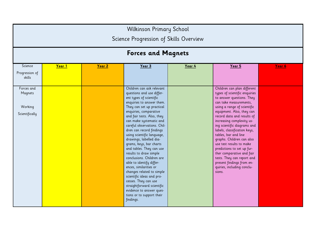| <b>Wilkinson Primary School</b>                    |                                        |        |                                                                                                                                                                                                                                                                                                                                                                                                                                                                                                                                                                                                                                                                                                              |        |                                                                                                                                                                                                                                                                                                                                                                                                                                                                                                                                                          |        |  |
|----------------------------------------------------|----------------------------------------|--------|--------------------------------------------------------------------------------------------------------------------------------------------------------------------------------------------------------------------------------------------------------------------------------------------------------------------------------------------------------------------------------------------------------------------------------------------------------------------------------------------------------------------------------------------------------------------------------------------------------------------------------------------------------------------------------------------------------------|--------|----------------------------------------------------------------------------------------------------------------------------------------------------------------------------------------------------------------------------------------------------------------------------------------------------------------------------------------------------------------------------------------------------------------------------------------------------------------------------------------------------------------------------------------------------------|--------|--|
|                                                    | Science Progression of Skills Overview |        |                                                                                                                                                                                                                                                                                                                                                                                                                                                                                                                                                                                                                                                                                                              |        |                                                                                                                                                                                                                                                                                                                                                                                                                                                                                                                                                          |        |  |
|                                                    | <b>Forces and Magnets</b>              |        |                                                                                                                                                                                                                                                                                                                                                                                                                                                                                                                                                                                                                                                                                                              |        |                                                                                                                                                                                                                                                                                                                                                                                                                                                                                                                                                          |        |  |
| Science<br>Progression of<br>skills                | Year 1                                 | Year 2 | Year 3                                                                                                                                                                                                                                                                                                                                                                                                                                                                                                                                                                                                                                                                                                       | Year 4 | Year 5                                                                                                                                                                                                                                                                                                                                                                                                                                                                                                                                                   | Year 6 |  |
| Forces and<br>Magnets<br>Working<br>Scientifically |                                        |        | Children can ask relevant<br>questions and use differ-<br>ent types of scientific<br>enquiries to answer them.<br>They can set up practical<br>enquiries, comparative<br>and fair tests. Also, they<br>can make systematic and<br>careful observations. Chil-<br>dren can record findings<br>using scientific language,<br>drawings, labelled dia-<br>grams, keys, bar charts<br>and tables. They can use<br>results to draw simple<br>conclusions. Children are<br>able to identify differ-<br>ences, similarities or<br>changes related to simple<br>scientific ideas and pro-<br>cesses. They can use<br>straightforward scientific<br>evidence to answer ques-<br>tions or to support their<br>findings. |        | Children can plan different<br>types of scientific enquiries<br>to answer questions. They<br>can take measurements,<br>using a range of scientific<br>equipment. Also, they can<br>record data and results of<br>increasing complexity us-<br>ing scientific diagrams and<br>labels, classification keys,<br>tables, bar and line<br>graphs. Children can also<br>use test results to make<br>predictions to set up fur-<br>ther comparative and fair<br>tests. They can report and<br>present findings from en-<br>quiries, including conclu-<br>sions. |        |  |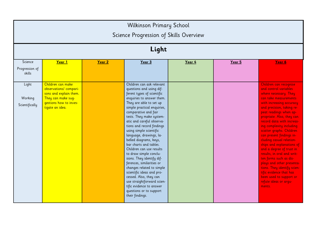|                                     | <b>Wilkinson Primary School</b><br>Science Progression of Skills Overview                                                                |        |                                                                                                                                                                                                                                                                                                                                                                                                                                                                                                                                                                                                                                                                                                                |        |        |                                                                                                                                                                                                                                                                                                                                                                                                                                                                                                                                                                                                                                      |  |
|-------------------------------------|------------------------------------------------------------------------------------------------------------------------------------------|--------|----------------------------------------------------------------------------------------------------------------------------------------------------------------------------------------------------------------------------------------------------------------------------------------------------------------------------------------------------------------------------------------------------------------------------------------------------------------------------------------------------------------------------------------------------------------------------------------------------------------------------------------------------------------------------------------------------------------|--------|--------|--------------------------------------------------------------------------------------------------------------------------------------------------------------------------------------------------------------------------------------------------------------------------------------------------------------------------------------------------------------------------------------------------------------------------------------------------------------------------------------------------------------------------------------------------------------------------------------------------------------------------------------|--|
|                                     |                                                                                                                                          |        | Light                                                                                                                                                                                                                                                                                                                                                                                                                                                                                                                                                                                                                                                                                                          |        |        |                                                                                                                                                                                                                                                                                                                                                                                                                                                                                                                                                                                                                                      |  |
| Science<br>Progression of<br>skills | Year 1                                                                                                                                   | Year 2 | Year 3                                                                                                                                                                                                                                                                                                                                                                                                                                                                                                                                                                                                                                                                                                         | Year 4 | Year 5 | Year 6                                                                                                                                                                                                                                                                                                                                                                                                                                                                                                                                                                                                                               |  |
| Light<br>Working<br>Scientifically  | Children can make<br>observations/ compari-<br>sons and explain them.<br>They can make sug-<br>gestions how to inves-<br>tigate an idea. |        | Children can ask relevant<br>questions and using dif-<br>ferent types of scientific<br>enquiries to answer them.<br>They are able to set up<br>simple practical enquiries,<br>comparative and fair<br>tests. They make system-<br>atic and careful observa-<br>tions and record findings<br>using simple scientific<br>language, drawings, la-<br>belled diagrams, keys,<br>bar charts and tables.<br>Children can use results<br>to draw simple conclu-<br>sions. They identify dif-<br>ferences, similarities or<br>changes related to simple<br>scientific ideas and pro-<br>cessed. Also, they can<br>use straightforward scien-<br>tific evidence to answer<br>questions or to support<br>their findings. |        |        | Children can recognise<br>and control variables<br>where necessary. They<br>can take measurements<br>with increasing accuracy<br>and precision, taking re-<br>peat readings when ap-<br>propriate. Also, they can<br>record data with increas-<br>ing complexity including<br>scatter graphs. Children<br>can present findings in-<br>cluding casual relation-<br>ships and explanations of<br>and a degree of trust in<br>results, in oral and writ-<br>ten forms such as dis-<br>plays and other presenta-<br>tions. They identify scien-<br>tific evidence that has<br>been used to support or<br>refute ideas or arqu-<br>ments. |  |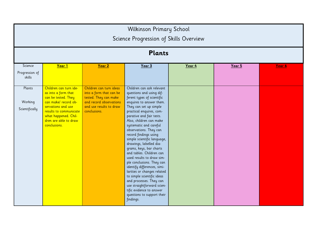|                                     | Wilkinson Primary School<br>Science Progression of Skills Overview                                                                                                                                            |                                                                                                                                                   |                                                                                                                                                                                                                                                                                                                                                                                                                                                                                                                                                                                                                                                                                                                  |        |        |        |  |
|-------------------------------------|---------------------------------------------------------------------------------------------------------------------------------------------------------------------------------------------------------------|---------------------------------------------------------------------------------------------------------------------------------------------------|------------------------------------------------------------------------------------------------------------------------------------------------------------------------------------------------------------------------------------------------------------------------------------------------------------------------------------------------------------------------------------------------------------------------------------------------------------------------------------------------------------------------------------------------------------------------------------------------------------------------------------------------------------------------------------------------------------------|--------|--------|--------|--|
|                                     |                                                                                                                                                                                                               |                                                                                                                                                   | <b>Plants</b>                                                                                                                                                                                                                                                                                                                                                                                                                                                                                                                                                                                                                                                                                                    |        |        |        |  |
| Science<br>Progression of<br>skills | Year 1                                                                                                                                                                                                        | Year 2                                                                                                                                            | Year 3                                                                                                                                                                                                                                                                                                                                                                                                                                                                                                                                                                                                                                                                                                           | Year 4 | Year 5 | Year 6 |  |
| Plants<br>Working<br>Scientifically | Children can turn ide-<br>as into a form that<br>can be tested. They<br>can make/ record ob-<br>servations and use<br>results to communicate<br>what happened. Chil-<br>dren are able to draw<br>conclusions. | Children can turn ideas<br>into a form that can be<br>tested. They can make<br>and record observations<br>and use results to draw<br>conclusions. | Children can ask relevant<br>questions and using dif-<br>ferent types of scientific<br>enquires to answer them.<br>They can set up simple<br>practical enquires, com-<br>parative and fair tests.<br>Also, children can make<br>systematic and careful<br>observations. They can<br>record findings using<br>simple scientific language,<br>drawings, labelled dia-<br>grams, keys, bar charts<br>and tables. Children can<br>used results to draw sim-<br>ple conclusions. They can<br>identify differences, simi-<br>larities or changes related<br>to simple scientific ideas<br>and processes. They can<br>use straightforward scien-<br>tific evidence to answer<br>questions to support their<br>findings. |        |        |        |  |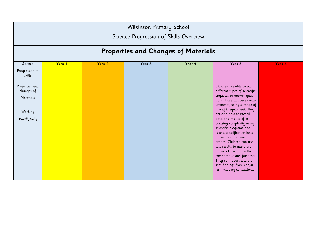|                              | <b>Wilkinson Primary School</b><br>Science Progression of Skills Overview |        |        |                                     |                                                            |        |  |  |
|------------------------------|---------------------------------------------------------------------------|--------|--------|-------------------------------------|------------------------------------------------------------|--------|--|--|
|                              |                                                                           |        |        | Properties and Changes of Materials |                                                            |        |  |  |
| Science                      | Year 1                                                                    | Year 2 | Year 3 | Year 4                              | Year 5                                                     | Year 6 |  |  |
| Progression of<br>skills     |                                                                           |        |        |                                     |                                                            |        |  |  |
| Properties and<br>changes of |                                                                           |        |        |                                     | Children are able to plan<br>different types of scientific |        |  |  |
| Materials                    |                                                                           |        |        |                                     | enquiries to answer ques-<br>tions. They can take meas-    |        |  |  |
|                              |                                                                           |        |        |                                     | urements, using a range of<br>scientific equipment. They   |        |  |  |
| Working<br>Scientifically    |                                                                           |        |        |                                     | are also able to record<br>data and results of in-         |        |  |  |
|                              |                                                                           |        |        |                                     | creasing complexity using                                  |        |  |  |
|                              |                                                                           |        |        |                                     | scientific diagrams and<br>labels, classification keys,    |        |  |  |
|                              |                                                                           |        |        |                                     | tables, bar and line<br>graphs. Children can use           |        |  |  |
|                              |                                                                           |        |        |                                     | test results to make pre-                                  |        |  |  |
|                              |                                                                           |        |        |                                     | dictions to set up further<br>comparative and fair tests.  |        |  |  |
|                              |                                                                           |        |        |                                     | They can report and pre-                                   |        |  |  |
|                              |                                                                           |        |        |                                     | sent findings from enquir-<br>ies, including conclusions.  |        |  |  |
|                              |                                                                           |        |        |                                     |                                                            |        |  |  |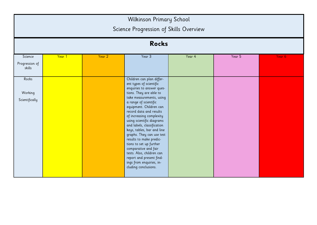|                                     | <b>Wilkinson Primary School</b><br>Science Progression of Skills Overview |        |                                                                                                                                                                                                                                                                                                                                                                                                                                                                                                                                                                      |        |        |        |  |  |
|-------------------------------------|---------------------------------------------------------------------------|--------|----------------------------------------------------------------------------------------------------------------------------------------------------------------------------------------------------------------------------------------------------------------------------------------------------------------------------------------------------------------------------------------------------------------------------------------------------------------------------------------------------------------------------------------------------------------------|--------|--------|--------|--|--|
|                                     |                                                                           |        | <b>Rocks</b>                                                                                                                                                                                                                                                                                                                                                                                                                                                                                                                                                         |        |        |        |  |  |
| Science<br>Progression of<br>skills | Year 1                                                                    | Year 2 | Year 3                                                                                                                                                                                                                                                                                                                                                                                                                                                                                                                                                               | Year 4 | Year 5 | Year 6 |  |  |
| Rocks<br>Working<br>Scientifically  |                                                                           |        | Children can plan differ-<br>ent types of scientific<br>enquiries to answer ques-<br>tions. They are able to<br>take measurements, using<br>a range of scientific<br>equipment. Children can<br>record data and results<br>of increasing complexity<br>using scientific diagrams<br>and labels, classification<br>keys, tables, bar and line<br>graphs. They can use test<br>results to make predic-<br>tions to set up further<br>comparative and fair<br>tests. Also, children can<br>report and present find-<br>ings from enquiries, in-<br>cluding conclusions. |        |        |        |  |  |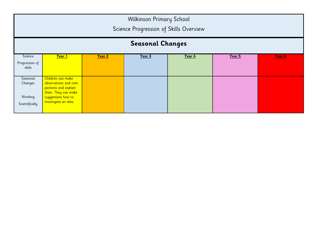| <b>Wilkinson Primary School</b><br>Science Progression of Skills Overview |                                                                                                                                         |  |  |  |  |  |  |
|---------------------------------------------------------------------------|-----------------------------------------------------------------------------------------------------------------------------------------|--|--|--|--|--|--|
| <b>Seasonal Changes</b>                                                   |                                                                                                                                         |  |  |  |  |  |  |
| Science<br>Progression of<br>skills                                       | Year 1<br>Year 2<br>Year 3<br>Year 4<br>Year 5<br>Year 6                                                                                |  |  |  |  |  |  |
| Seasonal<br>Changes<br>Working<br>Scientifically                          | Children can make<br>observations and com-<br>parisons and explain<br>them. They can make<br>suggestions how to<br>investigate an idea. |  |  |  |  |  |  |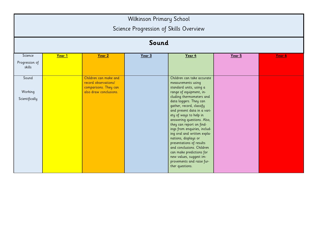| Wilkinson Primary School<br>Science Progression of Skills Overview |        |                                                                                                  |        |                                                                                                                                                                                                                                                                                                                                                                                                                                                                                                                                                                    |        |        |  |  |  |  |  |
|--------------------------------------------------------------------|--------|--------------------------------------------------------------------------------------------------|--------|--------------------------------------------------------------------------------------------------------------------------------------------------------------------------------------------------------------------------------------------------------------------------------------------------------------------------------------------------------------------------------------------------------------------------------------------------------------------------------------------------------------------------------------------------------------------|--------|--------|--|--|--|--|--|
| Sound                                                              |        |                                                                                                  |        |                                                                                                                                                                                                                                                                                                                                                                                                                                                                                                                                                                    |        |        |  |  |  |  |  |
| Science                                                            | Year 1 | Year 2                                                                                           | Year 3 | Year 4                                                                                                                                                                                                                                                                                                                                                                                                                                                                                                                                                             | Year 5 | Year 6 |  |  |  |  |  |
| Progression of<br>skills                                           |        |                                                                                                  |        |                                                                                                                                                                                                                                                                                                                                                                                                                                                                                                                                                                    |        |        |  |  |  |  |  |
| Sound<br>Working<br>Scientifically                                 |        | Children can make and<br>record observations/<br>comparisons. They can<br>also draw conclusions. |        | Children can take accurate<br>measurements using<br>standard units, using a<br>range of equipment, in-<br>cluding thermometers and<br>data loggers. They can<br>gather, record, classify<br>and present data in a vari-<br>ety of ways to help in<br>answering questions. Also,<br>they can report on find-<br>ings from enquiries, includ-<br>ing oral and written expla-<br>nations, displays or<br>presentations of results<br>and conclusions. Children<br>can make predictions for<br>new values, suggest im-<br>provements and raise fur-<br>ther questions. |        |        |  |  |  |  |  |